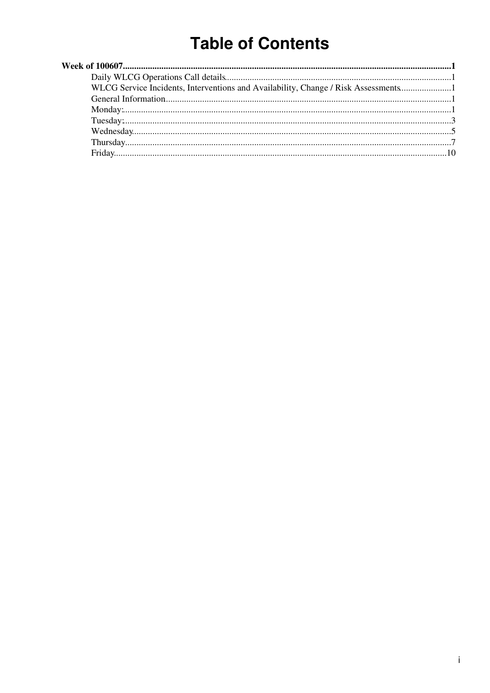# **Table of Contents**

| WLCG Service Incidents, Interventions and Availability, Change / Risk Assessments |  |
|-----------------------------------------------------------------------------------|--|
|                                                                                   |  |
|                                                                                   |  |
|                                                                                   |  |
|                                                                                   |  |
|                                                                                   |  |
|                                                                                   |  |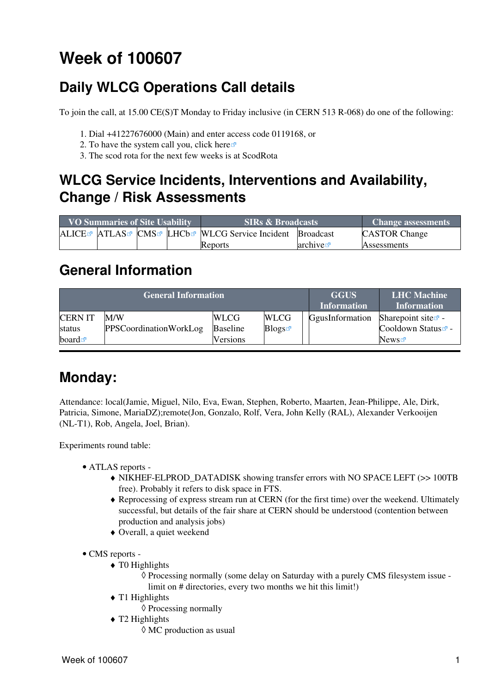# <span id="page-1-0"></span>**Week of 100607**

## <span id="page-1-1"></span>**Daily WLCG Operations Call details**

To join the call, at 15.00 CE(S)T Monday to Friday inclusive (in CERN 513 R-068) do one of the following:

- 1. Dial +41227676000 (Main) and enter access code 0119168, or
- 2. To have the system call you, click [here](https://audioconf.cern.ch/call/0119168) $\Phi$
- 3. The scod rota for the next few weeks is at [ScodRota](https://twiki.cern.ch/twiki/bin/view/LCG/ScodRota)

### <span id="page-1-2"></span>**WLCG Service Incidents, Interventions and Availability, Change / Risk Assessments**

| <b>VO Summaries of Site Usability</b> |  |  | <b>SIRs &amp; Broadcasts</b>                                                                             | <b>Change assessments</b> |                      |
|---------------------------------------|--|--|----------------------------------------------------------------------------------------------------------|---------------------------|----------------------|
|                                       |  |  | ALICE <sup>®</sup> ATLAS <sup>®</sup> CMS <sup>®</sup> LHCb <sup>®</sup> WLCG Service Incident Broadcast |                           | <b>CASTOR Change</b> |
|                                       |  |  | Reports                                                                                                  | arcitive                  | <b>Assessments</b>   |

### <span id="page-1-3"></span>**General Information**

|                          | <b>General Information</b>           | <b>GGUS</b><br><b>Information</b> | <b>LHC</b> Machine<br><b>Information</b> |                 |                                                               |
|--------------------------|--------------------------------------|-----------------------------------|------------------------------------------|-----------------|---------------------------------------------------------------|
| <b>CERN IT</b><br>status | M/W<br><b>PPSCoordinationWorkLog</b> | <b>WLCG</b><br><b>Baseline</b>    | <b>WLCG</b><br>Blogs                     | GgusInformation | Sharepoint site $\vec{r}$ -<br>Cooldown Status <sup>®</sup> - |
| board $\blacksquare$     |                                      | <b>Versions</b>                   |                                          |                 | News                                                          |

### <span id="page-1-4"></span>**Monday:**

Attendance: local(Jamie, Miguel, Nilo, Eva, Ewan, Stephen, Roberto, Maarten, Jean-Philippe, Ale, Dirk, Patricia, Simone, [MariaDZ](https://twiki.cern.ch/twiki/bin/edit/LCG/MariaDZ?topicparent=LCG.WLCGDailyMeetingsWeek100607;nowysiwyg=1));remote(Jon, Gonzalo, Rolf, Vera, John Kelly ([RAL\)](https://twiki.cern.ch/twiki/bin/view/LCG/RAL), Alexander Verkooijen (NL-T1), Rob, Angela, Joel, Brian).

- ATLAS [reports](https://twiki.cern.ch/twiki/bin/view/Atlas/ADCOperationsDailyReports)  •
	- NIKHEF-ELPROD\_DATADISK showing transfer errors with NO SPACE LEFT (>> 100TB ♦ free). Probably it refers to disk space in FTS.
	- Reprocessing of express stream run at CERN (for the first time) over the weekend. Ultimately ♦ successful, but details of the fair share at CERN should be understood (contention between production and analysis jobs)
	- ♦ Overall, a quiet weekend
- CMS [reports](https://twiki.cern.ch/twiki/bin/view/CMS/FacOps_WLCGdailyreports) -
	- $\triangleleft$  T0 Highlights
		- Processing normally (some delay on Saturday with a purely CMS filesystem issue ◊ limit on # directories, every two months we hit this limit!)
	- $\blacklozenge$  T1 Highlights
		- ◊ Processing normally
	- T2 Highlights ♦
		- ◊ MC production as usual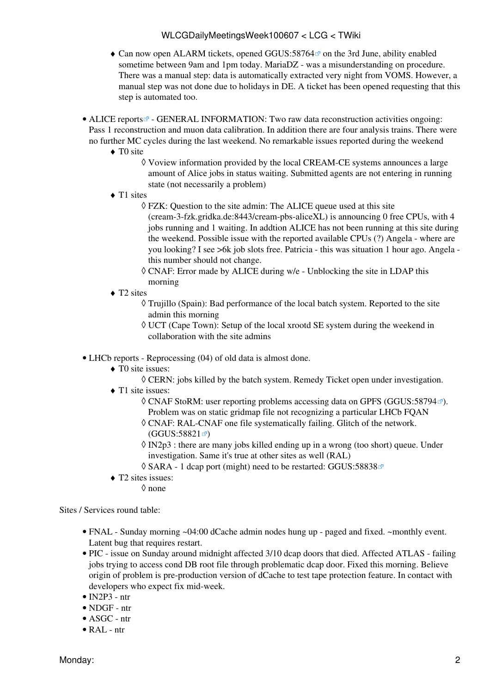- Can now open ALARM tickets, opened [GGUS:58764](https://ggus.eu/ws/ticket_info.php?ticket=58764)<sup>®</sup> on the 3rd June, ability enabled sometime between 9am and 1pm today. [MariaDZ](https://twiki.cern.ch/twiki/bin/edit/LCG/MariaDZ?topicparent=LCG.WLCGDailyMeetingsWeek100607;nowysiwyg=1) - was a misunderstanding on procedure. There was a manual step: data is automatically extracted very night from [VOMS.](https://twiki.cern.ch/twiki/bin/view/LCG/VOMS) However, a manual step was not done due to holidays in DE. A ticket has been opened requesting that this step is automated too.
- ALICE [reports](http://alien2.cern.ch/index.php?option=com_content&view=article&id=75&Itemid=129)<sup>®</sup> GENERAL INFORMATION: Two raw data reconstruction activities ongoing: Pass 1 reconstruction and muon data calibration. In addition there are four analysis trains. There were no further MC cycles during the last weekend. No remarkable issues reported during the weekend
	- ◆ TO site
		- Voview information provided by the local [CREAM](https://twiki.cern.ch/twiki/bin/view/LCG/CREAM)-CE systems announces a large ◊ amount of Alice jobs in status waiting. Submitted agents are not entering in running state (not necessarily a problem)
	- ◆ T1 sites
		- FZK: Question to the site admin: The ALICE queue used at this site ◊ (cream-3-fzk.gridka.de:8443/cream-pbs-aliceXL) is announcing 0 free CPUs, with 4 jobs running and 1 waiting. In addtion ALICE has not been running at this site during the weekend. Possible issue with the reported available CPUs (?) Angela - where are you looking? I see >6k job slots free. Patricia - this was situation 1 hour ago. Angela this number should not change.
		- CNAF: Error made by ALICE during w/e Unblocking the site in LDAP this ◊ morning
	- ◆ T2 sites
		- Trujillo (Spain): Bad performance of the local batch system. Reported to the site ◊ admin this morning
		- UCT (Cape Town): Setup of the local xrootd SE system during the weekend in ◊ collaboration with the site admins
- LHCb [reports](https://twiki.cern.ch/twiki/bin/view/LHCb/ProductionOperationsWLCGdailyReports)  Reprocessing (04) of old data is almost done.
	- ◆ T0 site issues:
		- ◊ CERN: jobs killed by the batch system. Remedy Ticket open under investigation.
	- ◆ T1 site issues:
		- ◊ CNAF [StoRM:](https://twiki.cern.ch/twiki/bin/view/LCG/StoRM) user reporting problems accessing data on GPFS ([GGUS:58794](https://ggus.eu/ws/ticket_info.php?ticket=58794)₫). Problem was on static gridmap file not recognizing a particular LHCb FQAN
		- CNAF: [RAL](https://twiki.cern.ch/twiki/bin/view/LCG/RAL)-CNAF one file systematically failing. Glitch of the network. ◊  $(GGUS:58821 \n *D*)$  $(GGUS:58821 \n *D*)$  $(GGUS:58821 \n *D*)$
		- IN2p3 : there are many jobs killed ending up in a wrong (too short) queue. Under ◊ investigation. Same it's true at other sites as well [\(RAL](https://twiki.cern.ch/twiki/bin/view/LCG/RAL))
		- ◊ SARA 1 dcap port (might) need to be restarted: [GGUS:58838](https://ggus.eu/ws/ticket_info.php?ticket=58838)
	- T2 sites issues: ♦
		- ◊ none

- FNAL Sunday morning ~04:00 dCache admin nodes hung up paged and fixed. ~monthly event. Latent bug that requires restart.
- PIC issue on Sunday around midnight affected 3/10 dcap doors that died. Affected ATLAS failing jobs trying to access cond DB root file through problematic dcap door. Fixed this morning. Believe origin of problem is pre-production version of dCache to test tape protection feature. In contact with developers who expect fix mid-week.
- $\bullet$  [IN2P3](https://twiki.cern.ch/twiki/bin/view/LCG/IN2P3)  ntr
- NDGF ntr
- ASGC ntr
- [RAL](https://twiki.cern.ch/twiki/bin/view/LCG/RAL) ntr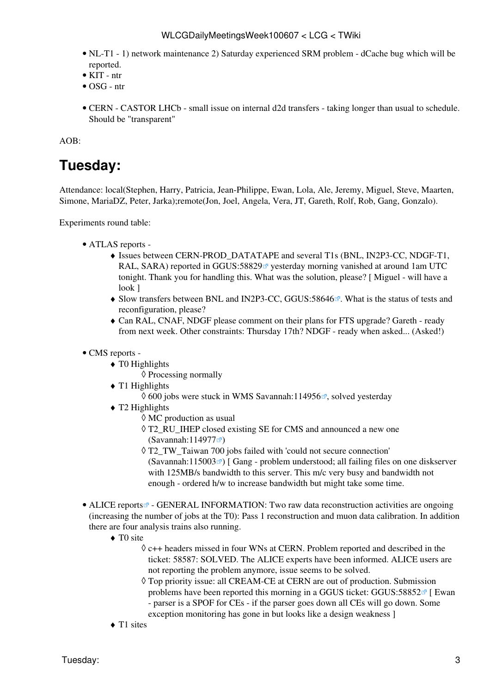- NL-T1 1) network maintenance 2) Saturday experienced SRM problem dCache bug which will be reported.
- KIT ntr
- OSG ntr
- CERN CASTOR LHCb small issue on internal d2d transfers taking longer than usual to schedule. Should be "transparent"

AOB:

### <span id="page-3-0"></span>**Tuesday:**

Attendance: local(Stephen, Harry, Patricia, Jean-Philippe, Ewan, Lola, Ale, Jeremy, Miguel, Steve, Maarten, Simone, [MariaDZ](https://twiki.cern.ch/twiki/bin/edit/LCG/MariaDZ?topicparent=LCG.WLCGDailyMeetingsWeek100607;nowysiwyg=1), Peter, Jarka);remote(Jon, Joel, Angela, Vera, JT, Gareth, Rolf, Rob, Gang, Gonzalo).

- ATLAS [reports](https://twiki.cern.ch/twiki/bin/view/Atlas/ADCOperationsDailyReports)  •
	- $\blacklozenge$  Issues between CERN-PROD\_DATATAPE and several T1s (BNL, [IN2P3](https://twiki.cern.ch/twiki/bin/view/LCG/IN2P3)-CC, NDGF-T1, [RAL](https://twiki.cern.ch/twiki/bin/view/LCG/RAL), SARA) reported in GGUS:58829<sup> $\alpha$ </sup> yesterday morning vanished at around 1am UTC tonight. Thank you for handling this. What was the solution, please? [ Miguel - will have a look ]
	- Slow transfers between BNL and [IN2P3-](https://twiki.cern.ch/twiki/bin/view/LCG/IN2P3)CC, [GGUS:58646](https://ggus.eu/ws/ticket_info.php?ticket=58646)<sup>®</sup>. What is the status of tests and reconfiguration, please?
	- Can [RAL](https://twiki.cern.ch/twiki/bin/view/LCG/RAL), CNAF, NDGF please comment on their plans for FTS upgrade? Gareth ready ♦ from next week. Other constraints: Thursday 17th? NDGF - ready when asked... (Asked!)
- CMS [reports](https://twiki.cern.ch/twiki/bin/view/CMS/FacOps_WLCGdailyreports) -
	- $\triangleleft$  T0 Highlights
		- ◊ Processing normally
	- $\triangleleft$  T1 Highlights
		- $\Diamond$  600 jobs were stuck in WMS [Savannah:114956](https://savannah.cern.ch/support/?114956) $\degree$ , solved yesterday
	- T2 Highlights ♦
		- ◊ MC production as usual
		- T2\_RU\_IHEP closed existing SE for CMS and announced a new one ◊  $(Savannah:114977 \times )$  $(Savannah:114977 \times )$  $(Savannah:114977 \times )$
		- T2\_TW\_Taiwan 700 jobs failed with 'could not secure connection' ◊  $(Savannah:115003 \mathcal{Q})$  $(Savannah:115003 \mathcal{Q})$  $(Savannah:115003 \mathcal{Q})$  [ Gang - problem understood; all failing files on one diskserver with 125MB/s bandwidth to this server. This m/c very busy and bandwidth not enough - ordered h/w to increase bandwidth but might take some time.
- ALICE [reports](http://alien2.cern.ch/index.php?option=com_content&view=article&id=75&Itemid=129)<sup>®</sup> GENERAL INFORMATION: Two raw data reconstruction activities are ongoing (increasing the number of jobs at the T0): Pass 1 reconstruction and muon data calibration. In addition there are four analysis trains also running.
	- ◆ TO site
		- c++ headers missed in four WNs at CERN. Problem reported and described in the ◊ ticket: 58587: SOLVED. The ALICE experts have been informed. ALICE users are not reporting the problem anymore, issue seems to be solved.
		- Top priority issue: all [CREAM-](https://twiki.cern.ch/twiki/bin/view/LCG/CREAM)CE at CERN are out of production. Submission ◊ problems have been reported this morning in a GGUS ticket: [GGUS:58852](https://ggus.eu/ws/ticket_info.php?ticket=58852) $\mathbb{F}$  [ Ewan - parser is a SPOF for CEs - if the parser goes down all CEs will go down. Some exception monitoring has gone in but looks like a design weakness ]
	- $\triangle$  T1 sites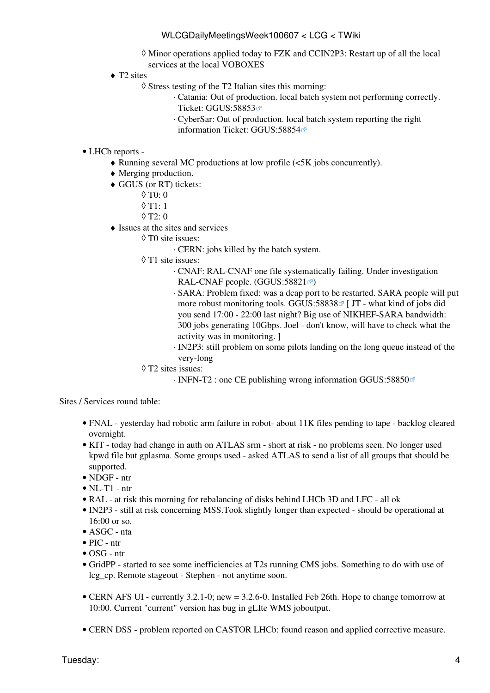Minor operations applied today to FZK and [CCIN2P3](https://twiki.cern.ch/twiki/bin/edit/LCG/CCIN2P3?topicparent=LCG.WLCGDailyMeetingsWeek100607;nowysiwyg=1): Restart up of all the local ◊ services at the local VOBOXES

- ◆ T2 sites
	- Stress testing of the T2 Italian sites this morning: ◊
		- Catania: Out of production. local batch system not performing correctly. ⋅ Ticket: [GGUS:58853](https://ggus.eu/ws/ticket_info.php?ticket=58853)
		- [CyberSar:](https://twiki.cern.ch/twiki/bin/edit/LCG/CyberSar?topicparent=LCG.WLCGDailyMeetingsWeek100607;nowysiwyg=1) Out of production. local batch system reporting the right ⋅ information Ticket: [GGUS:58854](https://ggus.eu/ws/ticket_info.php?ticket=58854)

#### • LHCb [reports](https://twiki.cern.ch/twiki/bin/view/LHCb/ProductionOperationsWLCGdailyReports) -

- ♦ Running several MC productions at low profile (<5K jobs concurrently).
- ♦ Merging production.
- GGUS (or RT) tickets: ♦
	- $\Diamond$  T<sub>0</sub> $\cdot$  <sub>0</sub>
	- $0$  T<sub>1</sub>: 1
	- $\lozenge$  T2: 0
- $\triangleleft$  Issues at the sites and services
	- T0 site issues: ◊
		- ⋅ CERN: jobs killed by the batch system.
		- T1 site issues: ◊
			- CNAF: [RAL](https://twiki.cern.ch/twiki/bin/view/LCG/RAL)-CNAF one file systematically failing. Under investigation ⋅ [RAL](https://twiki.cern.ch/twiki/bin/view/LCG/RAL)-CNAF people.  $(GGUS:58821 \times )$  $(GGUS:58821 \times )$
			- SARA: Problem fixed: was a dcap port to be restarted. SARA people will put ⋅ more robust monitoring tools. [GGUS:58838](https://ggus.eu/ws/ticket_info.php?ticket=58838) $\mathbb{F}$  [ JT - what kind of jobs did you send 17:00 - 22:00 last night? Big use of NIKHEF-SARA bandwidth: 300 jobs generating 10Gbps. Joel - don't know, will have to check what the activity was in monitoring. ]
			- [IN2P3:](https://twiki.cern.ch/twiki/bin/view/LCG/IN2P3) still problem on some pilots landing on the long queue instead of the ⋅ very-long
		- T2 sites issues: ◊
			- ⋅ INFN-T2 : one CE publishing wrong information [GGUS:58850](https://ggus.eu/ws/ticket_info.php?ticket=58850)

- FNAL yesterday had robotic arm failure in robot- about 11K files pending to tape backlog cleared overnight.
- KIT today had change in auth on ATLAS srm short at risk no problems seen. No longer used kpwd file but gplasma. Some groups used - asked ATLAS to send a list of all groups that should be supported.
- NDGF ntr
- $\bullet$  NL-T1 ntr
- [RAL](https://twiki.cern.ch/twiki/bin/view/LCG/RAL) at risk this morning for rebalancing of disks behind LHCb 3D and LFC all ok
- [IN2P3](https://twiki.cern.ch/twiki/bin/view/LCG/IN2P3)  still at risk concerning MSS. Took slightly longer than expected should be operational at 16:00 or so.
- ASGC nta
- PIC ntr
- OSG ntr
- [GridPP](https://twiki.cern.ch/twiki/bin/view/LCG/GridPP) started to see some inefficiencies at T2s running CMS jobs. Something to do with use of lcg\_cp. Remote stageout - Stephen - not anytime soon.
- CERN AFS UI currently 3.2.1-0; new = 3.2.6-0. Installed Feb 26th. Hope to change tomorrow at 10:00. Current "current" version has bug in gLIte WMS joboutput.
- CERN DSS problem reported on CASTOR LHCb: found reason and applied corrective measure.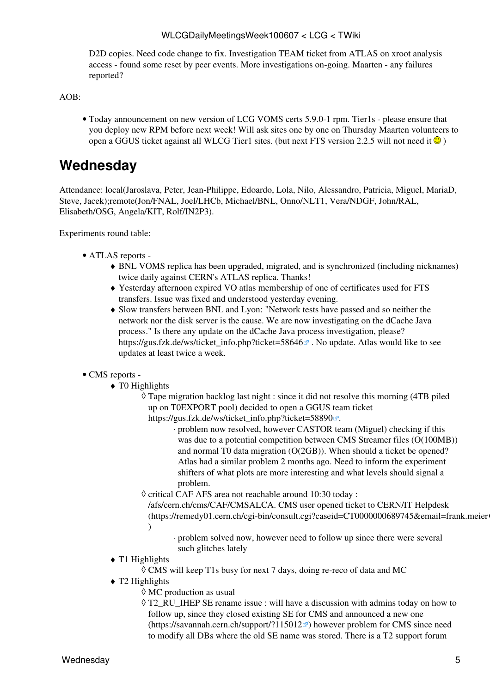[D2D](https://twiki.cern.ch/twiki/bin/edit/LCG/D2D?topicparent=LCG.WLCGDailyMeetingsWeek100607;nowysiwyg=1) copies. Need code change to fix. Investigation TEAM ticket from ATLAS on xroot analysis access - found some reset by peer events. More investigations on-going. Maarten - any failures reported?

 $AOB$ 

Today announcement on new version of LCG [VOMS](https://twiki.cern.ch/twiki/bin/view/LCG/VOMS) certs 5.9.0-1 rpm. Tier1s - please ensure that • you deploy new RPM before next week! Will ask sites one by one on Thursday Maarten volunteers to open a GGUS ticket against all WLCG Tier1 sites. (but next FTS version 2.2.5 will not need it  $\odot$ )

### <span id="page-5-0"></span>**Wednesday**

Attendance: local(Jaroslava, Peter, Jean-Philippe, Edoardo, Lola, Nilo, Alessandro, Patricia, Miguel, [MariaD,](https://twiki.cern.ch/twiki/bin/edit/LCG/MariaD?topicparent=LCG.WLCGDailyMeetingsWeek100607;nowysiwyg=1) Steve, Jacek);remote(Jon/FNAL, Joel/LHCb, Michael/BNL, Onno/NLT1, Vera/NDGF, John/RAL, Elisabeth/OSG, Angela/KIT, Rolf/IN2P3).

- ATLAS [reports](https://twiki.cern.ch/twiki/bin/view/Atlas/ADCOperationsDailyReports)  •
	- BNL [VOMS](https://twiki.cern.ch/twiki/bin/view/LCG/VOMS) replica has been upgraded, migrated, and is synchronized (including nicknames) ♦ twice daily against CERN's ATLAS replica. Thanks!
	- Yesterday afternoon expired VO atlas membership of one of certificates used for FTS ♦ transfers. Issue was fixed and understood yesterday evening.
	- Slow transfers between BNL and Lyon: "Network tests have passed and so neither the ♦ network nor the disk server is the cause. We are now investigating on the dCache Java process." Is there any update on the dCache Java process investigation, please? https://gus.fzk.de/ws/ticket info.php?ticket=58646 $\alpha$ . No update. Atlas would like to see updates at least twice a week.
- CMS [reports](https://twiki.cern.ch/twiki/bin/view/CMS/FacOps_WLCGdailyreports) -
	- $\triangleleft$  T0 Highlights
		- Tape migration backlog last night : since it did not resolve this morning (4TB piled ◊ up on [T0EXPORT](https://twiki.cern.ch/twiki/bin/edit/LCG/T0EXPORT?topicparent=LCG.WLCGDailyMeetingsWeek100607;nowysiwyg=1) pool) decided to open a GGUS team ticket [https://gus.fzk.de/ws/ticket\\_info.php?ticket=58890](https://gus.fzk.de/ws/ticket_info.php?ticket=58890) .
			- problem now resolved, however CASTOR team (Miguel) checking if this ⋅ was due to a potential competition between CMS Streamer files (O(100MB)) and normal T0 data migration (O(2GB)). When should a ticket be opened? Atlas had a similar problem 2 months ago. Need to inform the experiment shifters of what plots are more interesting and what levels should signal a problem.
		- ◊ critical CAF AFS area not reachable around 10:30 today :
			- /afs/cern.ch/cms/CAF/CMSALCA. CMS user opened ticket to CERN/IT Helpdesk (https://remedy01.cern.ch/cgi-bin/consult.cgi?caseid=CT0000000689745&email=frank.meier )
				- problem solved now, however need to follow up since there were several ⋅ such glitches lately
	- $\blacklozenge$  T1 Highlights
		- ◊ CMS will keep T1s busy for next 7 days, doing re-reco of data and MC
	- T2 Highlights ♦
		- ◊ MC production as usual
		- T2\_RU\_IHEP SE rename issue : will have a discussion with admins today on how to ◊ follow up, since they closed existing SE for CMS and announced a new one (<https://savannah.cern.ch/support/?115012> $\sigma$ ) however problem for CMS since need to modify all DBs where the old SE name was stored. There is a T2 support forum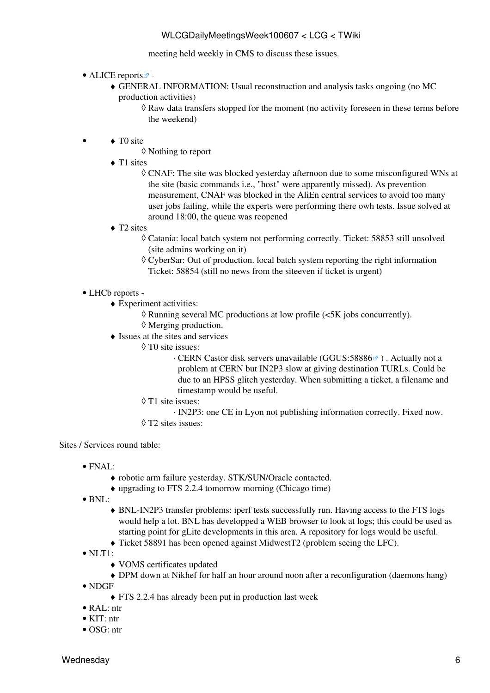meeting held weekly in CMS to discuss these issues.

- ALICE [reports](http://alien2.cern.ch/index.php?option=com_content&view=article&id=75&Itemid=129)
	- GENERAL INFORMATION: Usual reconstruction and analysis tasks ongoing (no MC ♦ production activities)
		- ◊ Raw data transfers stopped for the moment (no activity foreseen in these terms before the weekend)
- ◆ TO site •
	- ◊ Nothing to report
	- ◆ T1 sites
		- CNAF: The site was blocked yesterday afternoon due to some misconfigured WNs at ◊ the site (basic commands i.e., "host" were apparently missed). As prevention measurement, CNAF was blocked in the [AliEn](https://twiki.cern.ch/twiki/bin/edit/LCG/AliEn?topicparent=LCG.WLCGDailyMeetingsWeek100607;nowysiwyg=1) central services to avoid too many user jobs failing, while the experts were performing there owh tests. Issue solved at around 18:00, the queue was reopened
	- ◆ T2 sites
		- Catania: local batch system not performing correctly. Ticket: 58853 still unsolved ◊ (site admins working on it)
		- [CyberSar:](https://twiki.cern.ch/twiki/bin/edit/LCG/CyberSar?topicparent=LCG.WLCGDailyMeetingsWeek100607;nowysiwyg=1) Out of production. local batch system reporting the right information ◊ Ticket: 58854 (still no news from the siteeven if ticket is urgent)

### • LHCb [reports](https://twiki.cern.ch/twiki/bin/view/LHCb/ProductionOperationsWLCGdailyReports) -

- Experiment activities: ♦
	- ◊ Running several MC productions at low profile (<5K jobs concurrently).
	- ◊ Merging production.
- Issues at the sites and services ♦
	- T0 site issues: ◊
		- · CERN Castor disk servers unavailable (GGUS:58886<sup>®</sup>). Actually not a problem at CERN but [IN2P3](https://twiki.cern.ch/twiki/bin/view/LCG/IN2P3) slow at giving destination TURLs. Could be due to an HPSS glitch yesterday. When submitting a ticket, a filename and timestamp would be useful.
		- T1 site issues: ◊
			- ⋅ [IN2P3:](https://twiki.cern.ch/twiki/bin/view/LCG/IN2P3) one CE in Lyon not publishing information correctly. Fixed now.
		- ◊ T2 sites issues:

- FNAL:
	- ♦ robotic arm failure yesterday. STK/SUN/Oracle contacted.
	- ♦ upgrading to FTS 2.2.4 tomorrow morning (Chicago time)
- BNL:
	- BNL-IN2P3 transfer problems: iperf tests successfully run. Having access to the FTS logs ♦ would help a lot. BNL has developped a WEB browser to look at logs; this could be used as starting point for gLite developments in this area. A repository for logs would be useful.
	- ♦ Ticket 58891 has been opened against [MidwestT2](https://twiki.cern.ch/twiki/bin/edit/LCG/MidwestT2?topicparent=LCG.WLCGDailyMeetingsWeek100607;nowysiwyg=1) (problem seeing the LFC).
- $\bullet$  NLT1:
	- ♦ [VOMS](https://twiki.cern.ch/twiki/bin/view/LCG/VOMS) certificates updated
	- ♦ DPM down at Nikhef for half an hour around noon after a reconfiguration (daemons hang)
- NDGF
	- ♦ FTS 2.2.4 has already been put in production last week
- [RAL:](https://twiki.cern.ch/twiki/bin/view/LCG/RAL) ntr
- $\bullet$  KIT $\cdot$  ntr
- OSG: ntr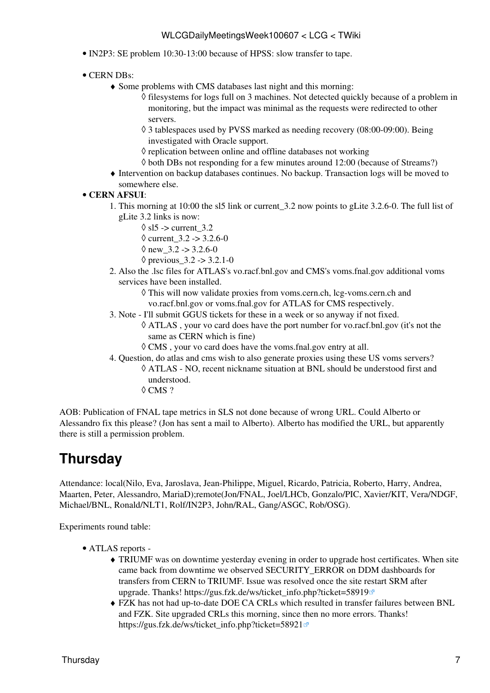- [IN2P3:](https://twiki.cern.ch/twiki/bin/view/LCG/IN2P3) SE problem 10:30-13:00 because of HPSS: slow transfer to tape.
- CERN DBs:
	- Some problems with CMS databases last night and this morning: ♦
		- ◊ filesystems for logs full on 3 machines. Not detected quickly because of a problem in monitoring, but the impact was minimal as the requests were redirected to other servers.
		- 3 tablespaces used by PVSS marked as needing recovery (08:00-09:00). Being ◊ investigated with Oracle support.
		- $\Diamond$  replication between online and offline databases not working
		- $\Diamond$  both DBs not responding for a few minutes around 12:00 (because of Streams?)
	- Intervention on backup databases continues. No backup. Transaction logs will be moved to ♦ somewhere else.
- **CERN [AFSUI](https://twiki.cern.ch/twiki/bin/view/LCG/AFSUI)**:
	- 1. This morning at 10:00 the sl5 link or current\_3.2 now points to gLite 3.2.6-0. The full list of gLite 3.2 links is now:
		- $\Diamond$  sl5 -> current 3.2
		- $\Diamond$  current 3.2 -> 3.2.6-0
		- $\Diamond$  new 3.2 -> 3.2.6-0
		- $\Diamond$  previous  $3.2 \div 3.2.1 0$
	- Also the .lsc files for ATLAS's vo.racf.bnl.gov and CMS's voms.fnal.gov additional voms 2. services have been installed.
		- This will now validate proxies from voms.cern.ch, lcg-voms.cern.ch and ◊ vo.racf.bnl.gov or voms.fnal.gov for ATLAS for CMS respectively.
	- Note I'll submit GGUS tickets for these in a week or so anyway if not fixed. 3.
		- ATLAS , your vo card does have the port number for vo.racf.bnl.gov (it's not the ◊ same as CERN which is fine)
			- ◊ CMS , your vo card does have the voms.fnal.gov entry at all.
	- 4. Question, do atlas and cms wish to also generate proxies using these US voms servers?
		- ATLAS NO, recent nickname situation at BNL should be understood first and ◊ understood.
			- ◊ CMS ?

AOB: Publication of FNAL tape metrics in SLS not done because of wrong URL. Could Alberto or Alessandro fix this please? (Jon has sent a mail to Alberto). Alberto has modified the URL, but apparently there is still a permission problem.

## <span id="page-7-0"></span>**Thursday**

Attendance: local(Nilo, Eva, Jaroslava, Jean-Philippe, Miguel, Ricardo, Patricia, Roberto, Harry, Andrea, Maarten, Peter, Alessandro, [MariaD\)](https://twiki.cern.ch/twiki/bin/edit/LCG/MariaD?topicparent=LCG.WLCGDailyMeetingsWeek100607;nowysiwyg=1);remote(Jon/FNAL, Joel/LHCb, Gonzalo/PIC, Xavier/KIT, Vera/NDGF, Michael/BNL, Ronald/NLT1, Rolf/IN2P3, John/RAL, Gang/ASGC, Rob/OSG).

- ATLAS [reports](https://twiki.cern.ch/twiki/bin/view/Atlas/ADCOperationsDailyReports)  •
	- TRIUMF was on downtime yesterday evening in order to upgrade host certificates. When site ♦ came back from downtime we observed SECURITY\_ERROR on DDM dashboards for transfers from CERN to TRIUMF. Issue was resolved once the site restart SRM after upgrade. Thanks! https://gus.fzk.de/ws/ticket info.php?ticket=58919<sup>®</sup>
	- FZK has not had up-to-date DOE CA CRLs which resulted in transfer failures between BNL ♦ and FZK. Site upgraded CRLs this morning, since then no more errors. Thanks! [https://gus.fzk.de/ws/ticket\\_info.php?ticket=58921](https://gus.fzk.de/ws/ticket_info.php?ticket=58921)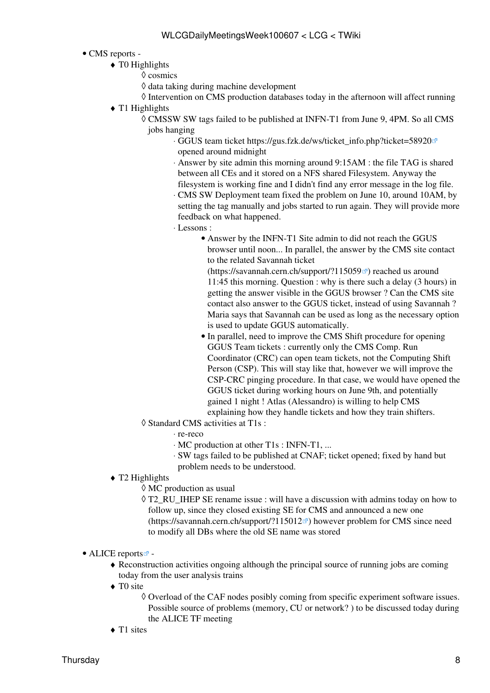### • CMS [reports](https://twiki.cern.ch/twiki/bin/view/CMS/FacOps_WLCGdailyreports) -

- $\triangleleft$  T0 Highlights
	- ◊ cosmics
	- ◊ data taking during machine development
	- $\Diamond$  Intervention on CMS production databases today in the afternoon will affect running
- $\blacklozenge$  T1 Highlights
	- CMSSW SW tags failed to be published at INFN-T1 from June 9, 4PM. So all CMS ◊ jobs hanging
		- GGUS team ticket [https://gus.fzk.de/ws/ticket\\_info.php?ticket=58920](https://gus.fzk.de/ws/ticket_info.php?ticket=58920) ⋅ opened around midnight
		- Answer by site admin this morning around 9:15AM : the file TAG is shared ⋅ between all CEs and it stored on a NFS shared Filesystem. Anyway the filesystem is working fine and I didn't find any error message in the log file.
		- CMS SW Deployment team fixed the problem on June 10, around 10AM, by ⋅ setting the tag manually and jobs started to run again. They will provide more feedback on what happened.
		- Lessons : ⋅
			- Answer by the INFN-T1 Site admin to did not reach the GGUS browser until noon... In parallel, the answer by the CMS site contact to the related Savannah ticket

(<https://savannah.cern.ch/support/?115059><sup>®</sup>) reached us around 11:45 this morning. Question : why is there such a delay (3 hours) in getting the answer visible in the GGUS browser ? Can the CMS site contact also answer to the GGUS ticket, instead of using Savannah ? Maria says that Savannah can be used as long as the necessary option is used to update GGUS automatically.

- In parallel, need to improve the CMS Shift procedure for opening GGUS Team tickets : currently only the CMS Comp. Run Coordinator (CRC) can open team tickets, not the Computing Shift Person (CSP). This will stay like that, however we will improve the CSP-CRC pinging procedure. In that case, we would have opened the GGUS ticket during working hours on June 9th, and potentially gained 1 night ! Atlas (Alessandro) is willing to help CMS explaining how they handle tickets and how they train shifters.
- Standard CMS activities at T1s : ◊
	- ⋅ re-reco
	- ⋅ MC production at other T1s : INFN-T1, ...
	- SW tags failed to be published at CNAF; ticket opened; fixed by hand but ⋅ problem needs to be understood.
- T2 Highlights ♦
	- ◊ MC production as usual
	- T2\_RU\_IHEP SE rename issue : will have a discussion with admins today on how to ◊ follow up, since they closed existing SE for CMS and announced a new one (<https://savannah.cern.ch/support/?115012> $\vec{r}$ ) however problem for CMS since need to modify all DBs where the old SE name was stored
- ALICE [reports](http://alien2.cern.ch/index.php?option=com_content&view=article&id=75&Itemid=129)<sup>2</sup>
	- Reconstruction activities ongoing although the principal source of running jobs are coming ♦ today from the user analysis trains
	- ◆ TO site
		- Overload of the CAF nodes posibly coming from specific experiment software issues. ◊ Possible source of problems (memory, CU or network? ) to be discussed today during the ALICE TF meeting
	- $\triangleleft$  T1 sites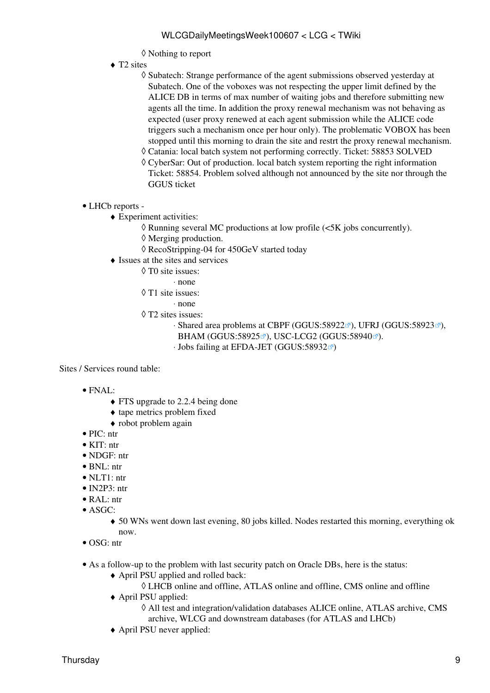- ◊ Nothing to report
- ◆ T2 sites
	- ◊ Subatech: Strange performance of the agent submissions observed yesterday at Subatech. One of the voboxes was not respecting the upper limit defined by the ALICE DB in terms of max number of waiting jobs and therefore submitting new agents all the time. In addition the proxy renewal mechanism was not behaving as expected (user proxy renewed at each agent submission while the ALICE code triggers such a mechanism once per hour only). The problematic VOBOX has been stopped until this morning to drain the site and restrt the proxy renewal mechanism.
	- ◊ Catania: local batch system not performing correctly. Ticket: 58853 SOLVED
	- [CyberSar:](https://twiki.cern.ch/twiki/bin/edit/LCG/CyberSar?topicparent=LCG.WLCGDailyMeetingsWeek100607;nowysiwyg=1) Out of production. local batch system reporting the right information ◊ Ticket: 58854. Problem solved although not announced by the site nor through the GGUS ticket
- LHCb [reports](https://twiki.cern.ch/twiki/bin/view/LHCb/ProductionOperationsWLCGdailyReports) -
	- Experiment activities: ♦
		- ◊ Running several MC productions at low profile (<5K jobs concurrently).
		- ◊ Merging production.
		- ◊ [RecoStripping-](https://twiki.cern.ch/twiki/bin/edit/LCG/RecoStripping?topicparent=LCG.WLCGDailyMeetingsWeek100607;nowysiwyg=1)04 for 450GeV started today
	- Issues at the sites and services ♦
		- T0 site issues: ◊
			- ⋅ none
		- T1 site issues: ◊
			- ⋅ none
		- T2 sites issues: ◊
			- ⋅ Shared area problems at CBPF [\(GGUS:58922](https://ggus.eu/ws/ticket_info.php?ticket=58922)ø), UFRJ [\(GGUS:58923](https://ggus.eu/ws/ticket_info.php?ticket=58923)ø), BHAM [\(GGUS:58925](https://ggus.eu/ws/ticket_info.php?ticket=58925)<sup>®</sup>), USC-LCG2 [\(GGUS:58940](https://ggus.eu/ws/ticket_info.php?ticket=58940)<sup>®</sup>).
			- $\cdot$  Jobs failing at EFDA-JET ([GGUS:58932](https://ggus.eu/ws/ticket_info.php?ticket=58932) $\textdegree$ )

- FNAL:
	- FTS upgrade to 2.2.4 being done
	- ♦ tape metrics problem fixed
	- ♦ robot problem again
- PIC: ntr
- KIT: ntr
- NDGF: ntr
- BNL: ntr
- NLT1: ntr
- [IN2P3:](https://twiki.cern.ch/twiki/bin/view/LCG/IN2P3) ntr
- [RAL](https://twiki.cern.ch/twiki/bin/view/LCG/RAL): ntr
- ASGC:
	- 50 WNs went down last evening, 80 jobs killed. Nodes restarted this morning, everything ok ♦ now.
- OSG: ntr
- As a follow-up to the problem with last security patch on Oracle DBs, here is the status:
	- April PSU applied and rolled back: ♦
		- ◊ LHCB online and offline, ATLAS online and offline, CMS online and offline
	- April PSU applied: ♦
		- All test and integration/validation databases ALICE online, ATLAS archive, CMS ◊ archive, WLCG and downstream databases (for ATLAS and LHCb)
	- ♦ April PSU never applied: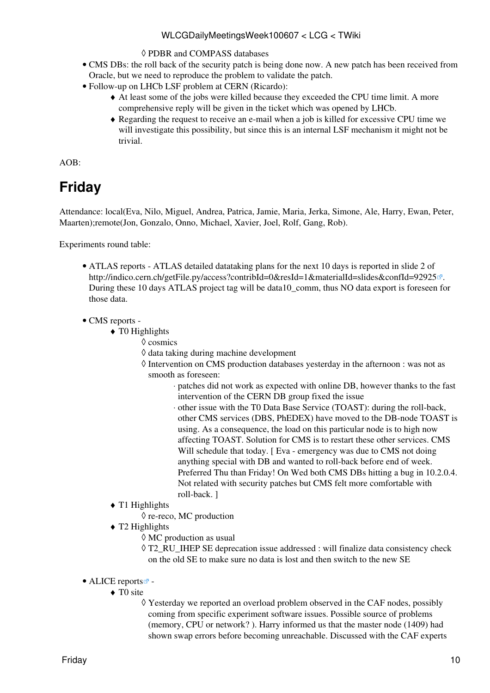- ◊ PDBR and COMPASS databases
- CMS DBs: the roll back of the security patch is being done now. A new patch has been received from Oracle, but we need to reproduce the problem to validate the patch.
- Follow-up on LHCb [LSF](https://twiki.cern.ch/twiki/bin/view/LCG/LSF) problem at CERN (Ricardo):
	- At least some of the jobs were killed because they exceeded the CPU time limit. A more ♦ comprehensive reply will be given in the ticket which was opened by LHCb.
	- Regarding the request to receive an e-mail when a job is killed for excessive CPU time we ♦ will investigate this possibility, but since this is an internal [LSF](https://twiki.cern.ch/twiki/bin/view/LCG/LSF) mechanism it might not be trivial.

AOB:

# <span id="page-10-0"></span>**Friday**

Attendance: local(Eva, Nilo, Miguel, Andrea, Patrica, Jamie, Maria, Jerka, Simone, Ale, Harry, Ewan, Peter, Maarten);remote(Jon, Gonzalo, Onno, Michael, Xavier, Joel, Rolf, Gang, Rob).

- ATLAS [reports](https://twiki.cern.ch/twiki/bin/view/Atlas/ADCOperationsDailyReports)  ATLAS detailed datataking plans for the next 10 days is reported in slide 2 of <http://indico.cern.ch/getFile.py/access?contribId=0&resId=1&materialId=slides&confId=92925> . During these 10 days ATLAS project tag will be data10 comm, thus NO data export is foreseen for those data.
- CMS [reports](https://twiki.cern.ch/twiki/bin/view/CMS/FacOps_WLCGdailyreports) -
	- $\triangleleft$  T0 Highlights
		- ◊ cosmics
			- ◊ data taking during machine development
			- ◊ Intervention on CMS production databases yesterday in the afternoon : was not as smooth as foreseen:
				- patches did not work as expected with online DB, however thanks to the fast ⋅ intervention of the CERN DB group fixed the issue
				- other issue with the T0 Data Base Service (TOAST): during the roll-back, ⋅ other CMS services (DBS, [PhEDEX](https://twiki.cern.ch/twiki/bin/edit/LCG/PhEDEX?topicparent=LCG.WLCGDailyMeetingsWeek100607;nowysiwyg=1)) have moved to the DB-node TOAST is using. As a consequence, the load on this particular node is to high now affecting TOAST. Solution for CMS is to restart these other services. CMS Will schedule that today. [ Eva - emergency was due to CMS not doing anything special with DB and wanted to roll-back before end of week. Preferred Thu than Friday! On Wed both CMS DBs hitting a bug in 10.2.0.4. Not related with security patches but CMS felt more comfortable with roll-back. ]
	- $\blacklozenge$  T1 Highlights
		- ◊ re-reco, MC production
	- T2 Highlights ♦
		- ◊ MC production as usual
		- T2\_RU\_IHEP SE deprecation issue addressed : will finalize data consistency check ◊ on the old SE to make sure no data is lost and then switch to the new SE
- ALICE [reports](http://alien2.cern.ch/index.php?option=com_content&view=article&id=75&Itemid=129)
	- ◆ TO site
		- Yesterday we reported an overload problem observed in the CAF nodes, possibly ◊ coming from specific experiment software issues. Possible source of problems (memory, CPU or network? ). Harry informed us that the master node (1409) had shown swap errors before becoming unreachable. Discussed with the CAF experts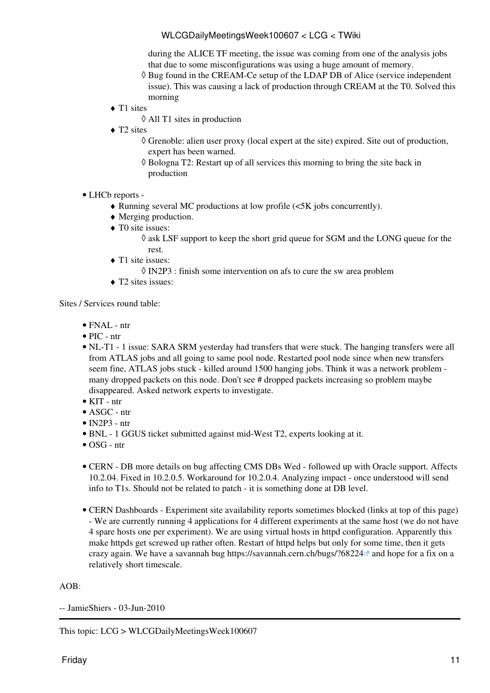during the ALICE TF meeting, the issue was coming from one of the analysis jobs that due to some misconfigurations was using a huge amount of memory.

- Bug found in the [CREAM](https://twiki.cern.ch/twiki/bin/view/LCG/CREAM)-Ce setup of the LDAP DB of Alice (service independent ◊ issue). This was causing a lack of production through [CREAM](https://twiki.cern.ch/twiki/bin/view/LCG/CREAM) at the T0. Solved this morning
- ◆ T1 sites
	- ◊ All T1 sites in production
- ◆ T2 sites
	- Grenoble: alien user proxy (local expert at the site) expired. Site out of production, ◊ expert has been warned.
	- Bologna T2: Restart up of all services this morning to bring the site back in ◊ production
- LHCb [reports](https://twiki.cern.ch/twiki/bin/view/LHCb/ProductionOperationsWLCGdailyReports) -
	- ♦ Running several MC productions at low profile (<5K jobs concurrently).
	- ♦ Merging production.
	- ◆ TO site issues:
		- ask [LSF](https://twiki.cern.ch/twiki/bin/view/LCG/LSF) support to keep the short grid queue for SGM and the LONG queue for the ◊ rest.
	- ◆ T1 site issues:
		- ◊ [IN2P3](https://twiki.cern.ch/twiki/bin/view/LCG/IN2P3) : finish some intervention on afs to cure the sw area problem
	- $\triangleleft$  T2 sites issues:

Sites / Services round table:

- FNAL ntr
- PIC ntr
- NL-T1 1 issue: SARA SRM yesterday had transfers that were stuck. The hanging transfers were all from ATLAS jobs and all going to same pool node. Restarted pool node since when new transfers seem fine, ATLAS jobs stuck - killed around 1500 hanging jobs. Think it was a network problem many dropped packets on this node. Don't see # dropped packets increasing so problem maybe disappeared. Asked network experts to investigate.
- KIT ntr
- ASGC ntr
- $\bullet$  [IN2P3](https://twiki.cern.ch/twiki/bin/view/LCG/IN2P3)  ntr
- BNL 1 GGUS ticket submitted against mid-West T2, experts looking at it.
- OSG ntr
- CERN DB more details on bug affecting CMS DBs Wed followed up with Oracle support. Affects 10.2.04. Fixed in 10.2.0.5. Workaround for 10.2.0.4. Analyzing impact - once understood will send info to T1s. Should not be related to patch - it is something done at DB level.
- CERN Dashboards Experiment site availability reports sometimes blocked (links at top of this page) - We are currently running 4 applications for 4 different experiments at the same host (we do not have 4 spare hosts one per experiment). We are using virtual hosts in httpd configuration. Apparently this make httpds get screwed up rather often. Restart of httpd helps but only for some time, then it gets crazy again. We have a savannah bug <https://savannah.cern.ch/bugs/?68224>and hope for a fix on a relatively short timescale.

### AOB:

-- [JamieShiers](https://twiki.cern.ch/twiki/bin/view/Main/JamieShiers) - 03-Jun-2010

This topic: LCG > WLCGDailyMeetingsWeek100607